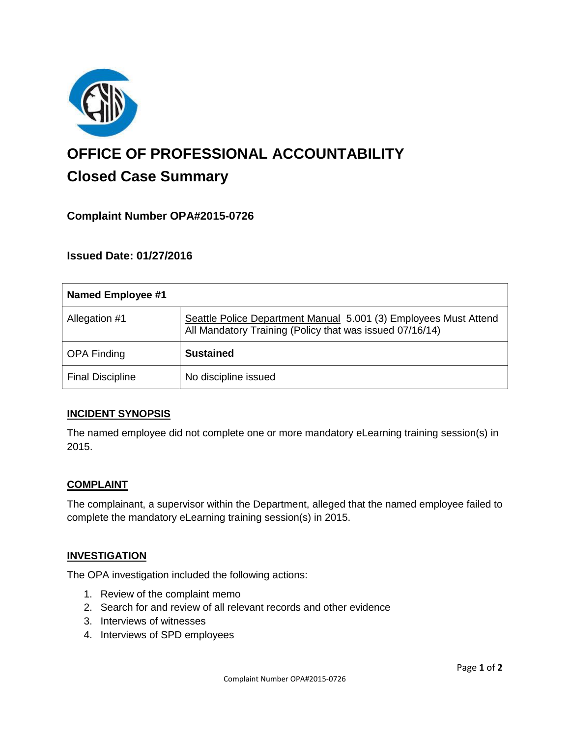

# **OFFICE OF PROFESSIONAL ACCOUNTABILITY Closed Case Summary**

## **Complaint Number OPA#2015-0726**

## **Issued Date: 01/27/2016**

| <b>Named Employee #1</b> |                                                                                                                              |
|--------------------------|------------------------------------------------------------------------------------------------------------------------------|
| Allegation #1            | Seattle Police Department Manual 5.001 (3) Employees Must Attend<br>All Mandatory Training (Policy that was issued 07/16/14) |
| <b>OPA Finding</b>       | <b>Sustained</b>                                                                                                             |
| <b>Final Discipline</b>  | No discipline issued                                                                                                         |

#### **INCIDENT SYNOPSIS**

The named employee did not complete one or more mandatory eLearning training session(s) in 2015.

#### **COMPLAINT**

The complainant, a supervisor within the Department, alleged that the named employee failed to complete the mandatory eLearning training session(s) in 2015.

#### **INVESTIGATION**

The OPA investigation included the following actions:

- 1. Review of the complaint memo
- 2. Search for and review of all relevant records and other evidence
- 3. Interviews of witnesses
- 4. Interviews of SPD employees